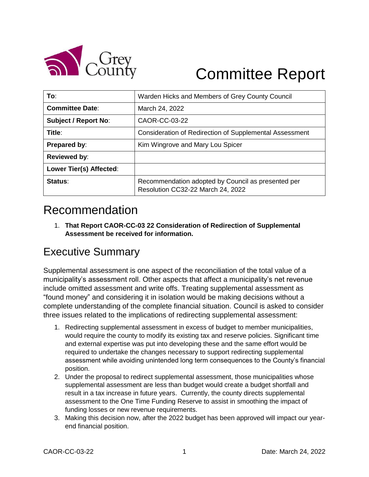

# Committee Report

| To:                         | Warden Hicks and Members of Grey County Council                                         |  |  |
|-----------------------------|-----------------------------------------------------------------------------------------|--|--|
| <b>Committee Date:</b>      | March 24, 2022                                                                          |  |  |
| <b>Subject / Report No:</b> | CAOR-CC-03-22                                                                           |  |  |
| Title:                      | Consideration of Redirection of Supplemental Assessment                                 |  |  |
| Prepared by:                | Kim Wingrove and Mary Lou Spicer                                                        |  |  |
| <b>Reviewed by:</b>         |                                                                                         |  |  |
| Lower Tier(s) Affected:     |                                                                                         |  |  |
| Status:                     | Recommendation adopted by Council as presented per<br>Resolution CC32-22 March 24, 2022 |  |  |

## Recommendation

1. **That Report CAOR-CC-03 22 Consideration of Redirection of Supplemental Assessment be received for information.**

#### Executive Summary

Supplemental assessment is one aspect of the reconciliation of the total value of a municipality's assessment roll. Other aspects that affect a municipality's net revenue include omitted assessment and write offs. Treating supplemental assessment as "found money" and considering it in isolation would be making decisions without a complete understanding of the complete financial situation. Council is asked to consider three issues related to the implications of redirecting supplemental assessment:

- 1. Redirecting supplemental assessment in excess of budget to member municipalities, would require the county to modify its existing tax and reserve policies. Significant time and external expertise was put into developing these and the same effort would be required to undertake the changes necessary to support redirecting supplemental assessment while avoiding unintended long term consequences to the County's financial position.
- 2. Under the proposal to redirect supplemental assessment, those municipalities whose supplemental assessment are less than budget would create a budget shortfall and result in a tax increase in future years. Currently, the county directs supplemental assessment to the One Time Funding Reserve to assist in smoothing the impact of funding losses or new revenue requirements.
- 3. Making this decision now, after the 2022 budget has been approved will impact our yearend financial position.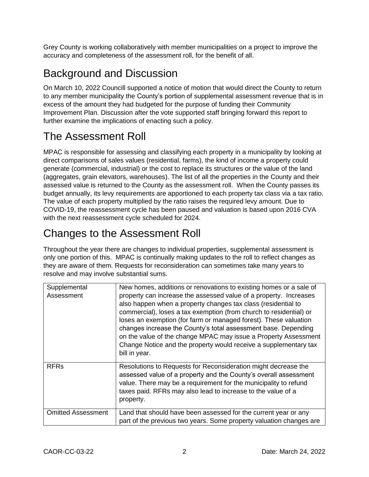Grey County is working collaboratively with member municipalities on a project to improve the accuracy and completeness of the assessment roll, for the benefit of all.

#### Background and Discussion

On March 10, 2022 Councill supported a notice of motion that would direct the County to return to any member municipality the County's portion of supplemental assessment revenue that is in excess of the amount they had budgeted for the purpose of funding their Community Improvement Plan. Discussion after the vote supported staff bringing forward this report to further examine the implications of enacting such a policy.

## The Assessment Roll

MPAC is responsible for assessing and classifying each property in a municipality by looking at direct comparisons of sales values (residential, farms), the kind of income a property could generate (commercial, industrial) or the cost to replace its structures or the value of the land (aggregates, grain elevators, warehouses). The list of all the properties in the County and their assessed value is returned to the County as the assessment roll. When the County passes its budget annually, its levy requirements are apportioned to each property tax class via a tax ratio. The value of each property multiplied by the ratio raises the required levy amount. Due to COVID-19, the reassessment cycle has been paused and valuation is based upon 2016 CVA with the next reassessment cycle scheduled for 2024.

# Changes to the Assessment Roll

Throughout the year there are changes to individual properties, supplemental assessment is only one portion of this. MPAC is continually making updates to the roll to reflect changes as they are aware of them. Requests for reconsideration can sometimes take many years to resolve and may involve substantial sums.

| Supplemental<br>Assessment | New homes, additions or renovations to existing homes or a sale of<br>property can increase the assessed value of a property. Increases<br>also happen when a property changes tax class (residential to<br>commercial), loses a tax exemption (from church to residential) or<br>loses an exemption (for farm or managed forest). These valuation<br>changes increase the County's total assessment base. Depending<br>on the value of the change MPAC may issue a Property Assessment<br>Change Notice and the property would receive a supplementary tax<br>bill in year. |
|----------------------------|------------------------------------------------------------------------------------------------------------------------------------------------------------------------------------------------------------------------------------------------------------------------------------------------------------------------------------------------------------------------------------------------------------------------------------------------------------------------------------------------------------------------------------------------------------------------------|
| <b>RFRs</b>                | Resolutions to Requests for Reconsideration might decrease the<br>assessed value of a property and the County's overall assessment<br>value. There may be a requirement for the municipality to refund<br>taxes paid. RFRs may also lead to increase to the value of a<br>property.                                                                                                                                                                                                                                                                                          |
| <b>Omitted Assessment</b>  | Land that should have been assessed for the current year or any<br>part of the previous two years. Some property valuation changes are                                                                                                                                                                                                                                                                                                                                                                                                                                       |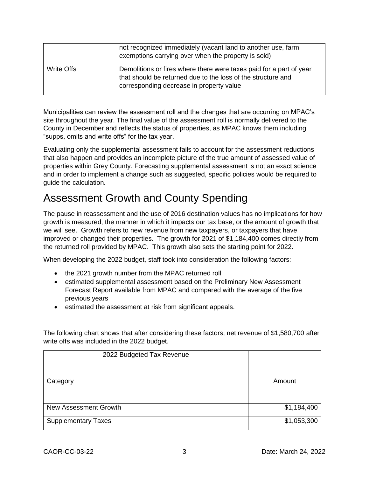|            | not recognized immediately (vacant land to another use, farm<br>exemptions carrying over when the property is sold)                                                             |
|------------|---------------------------------------------------------------------------------------------------------------------------------------------------------------------------------|
| Write Offs | Demolitions or fires where there were taxes paid for a part of year<br>that should be returned due to the loss of the structure and<br>corresponding decrease in property value |

Municipalities can review the assessment roll and the changes that are occurring on MPAC's site throughout the year. The final value of the assessment roll is normally delivered to the County in December and reflects the status of properties, as MPAC knows them including "supps, omits and write offs" for the tax year.

Evaluating only the supplemental assessment fails to account for the assessment reductions that also happen and provides an incomplete picture of the true amount of assessed value of properties within Grey County. Forecasting supplemental assessment is not an exact science and in order to implement a change such as suggested, specific policies would be required to guide the calculation.

#### Assessment Growth and County Spending

The pause in reassessment and the use of 2016 destination values has no implications for how growth is measured, the manner in which it impacts our tax base, or the amount of growth that we will see. Growth refers to new revenue from new taxpayers, or taxpayers that have improved or changed their properties. The growth for 2021 of \$1,184,400 comes directly from the returned roll provided by MPAC. This growth also sets the starting point for 2022.

When developing the 2022 budget, staff took into consideration the following factors:

- the 2021 growth number from the MPAC returned roll
- estimated supplemental assessment based on the Preliminary New Assessment Forecast Report available from MPAC and compared with the average of the five previous years
- estimated the assessment at risk from significant appeals.

The following chart shows that after considering these factors, net revenue of \$1,580,700 after write offs was included in the 2022 budget.

| 2022 Budgeted Tax Revenue    |             |
|------------------------------|-------------|
| Category                     | Amount      |
|                              |             |
|                              |             |
| <b>New Assessment Growth</b> | \$1,184,400 |
| <b>Supplementary Taxes</b>   | \$1,053,300 |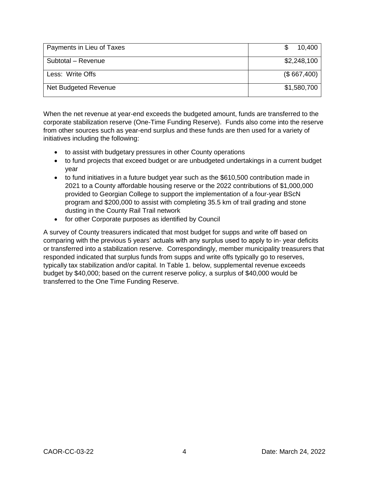| Payments in Lieu of Taxes | 10,400      |
|---------------------------|-------------|
| Subtotal - Revenue        | \$2,248,100 |
| Less: Write Offs          | (\$667,400) |
| Net Budgeted Revenue      | \$1,580,700 |

When the net revenue at year-end exceeds the budgeted amount, funds are transferred to the corporate stabilization reserve (One-Time Funding Reserve). Funds also come into the reserve from other sources such as year-end surplus and these funds are then used for a variety of initiatives including the following:

- to assist with budgetary pressures in other County operations
- to fund projects that exceed budget or are unbudgeted undertakings in a current budget year
- to fund initiatives in a future budget year such as the \$610,500 contribution made in 2021 to a County affordable housing reserve or the 2022 contributions of \$1,000,000 provided to Georgian College to support the implementation of a four-year BScN program and \$200,000 to assist with completing 35.5 km of trail grading and stone dusting in the County Rail Trail network
- for other Corporate purposes as identified by Council

A survey of County treasurers indicated that most budget for supps and write off based on comparing with the previous 5 years' actuals with any surplus used to apply to in- year deficits or transferred into a stabilization reserve. Correspondingly, member municipality treasurers that responded indicated that surplus funds from supps and write offs typically go to reserves, typically tax stabilization and/or capital. In Table 1. below, supplemental revenue exceeds budget by \$40,000; based on the current reserve policy, a surplus of \$40,000 would be transferred to the One Time Funding Reserve.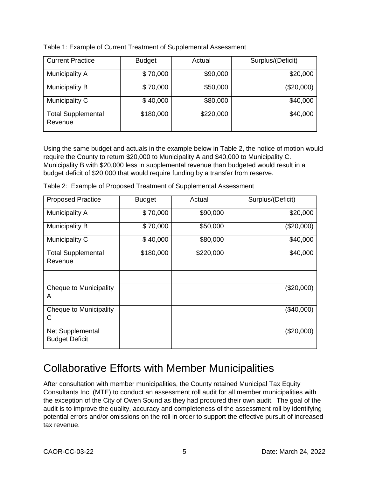| Table 1: Example of Current Treatment of Supplemental Assessment |  |
|------------------------------------------------------------------|--|
|------------------------------------------------------------------|--|

| <b>Current Practice</b>              | <b>Budget</b> | Actual    | Surplus/(Deficit) |
|--------------------------------------|---------------|-----------|-------------------|
| Municipality A                       | \$70,000      | \$90,000  | \$20,000          |
| <b>Municipality B</b>                | \$70,000      | \$50,000  | (\$20,000)        |
| Municipality C                       | \$40,000      | \$80,000  | \$40,000          |
| <b>Total Supplemental</b><br>Revenue | \$180,000     | \$220,000 | \$40,000          |

Using the same budget and actuals in the example below in Table 2, the notice of motion would require the County to return \$20,000 to Municipality A and \$40,000 to Municipality C. Municipality B with \$20,000 less in supplemental revenue than budgeted would result in a budget deficit of \$20,000 that would require funding by a transfer from reserve.

| <b>Proposed Practice</b>                  | <b>Budget</b> | Actual    | Surplus/(Deficit) |
|-------------------------------------------|---------------|-----------|-------------------|
| Municipality A                            | \$70,000      | \$90,000  | \$20,000          |
| <b>Municipality B</b>                     | \$70,000      | \$50,000  | (\$20,000)        |
| Municipality C                            | \$40,000      | \$80,000  | \$40,000          |
| <b>Total Supplemental</b><br>Revenue      | \$180,000     | \$220,000 | \$40,000          |
|                                           |               |           |                   |
| Cheque to Municipality<br>A               |               |           | (\$20,000)        |
| Cheque to Municipality<br>С               |               |           | (\$40,000)        |
| Net Supplemental<br><b>Budget Deficit</b> |               |           | (\$20,000)        |

Table 2: Example of Proposed Treatment of Supplemental Assessment

#### Collaborative Efforts with Member Municipalities

After consultation with member municipalities, the County retained Municipal Tax Equity Consultants Inc. (MTE) to conduct an assessment roll audit for all member municipalities with the exception of the City of Owen Sound as they had procured their own audit. The goal of the audit is to improve the quality, accuracy and completeness of the assessment roll by identifying potential errors and/or omissions on the roll in order to support the effective pursuit of increased tax revenue.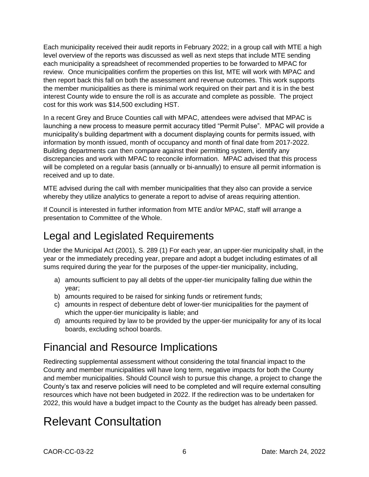Each municipality received their audit reports in February 2022; in a group call with MTE a high level overview of the reports was discussed as well as next steps that include MTE sending each municipality a spreadsheet of recommended properties to be forwarded to MPAC for review. Once municipalities confirm the properties on this list, MTE will work with MPAC and then report back this fall on both the assessment and revenue outcomes. This work supports the member municipalities as there is minimal work required on their part and it is in the best interest County wide to ensure the roll is as accurate and complete as possible. The project cost for this work was \$14,500 excluding HST.

In a recent Grey and Bruce Counties call with MPAC, attendees were advised that MPAC is launching a new process to measure permit accuracy titled "Permit Pulse". MPAC will provide a municipality's building department with a document displaying counts for permits issued, with information by month issued, month of occupancy and month of final date from 2017-2022. Building departments can then compare against their permitting system, identify any discrepancies and work with MPAC to reconcile information. MPAC advised that this process will be completed on a regular basis (annually or bi-annually) to ensure all permit information is received and up to date.

MTE advised during the call with member municipalities that they also can provide a service whereby they utilize analytics to generate a report to advise of areas requiring attention.

If Council is interested in further information from MTE and/or MPAC, staff will arrange a presentation to Committee of the Whole.

## Legal and Legislated Requirements

Under the Municipal Act (2001), S. 289 (1) For each year, an upper-tier municipality shall, in the year or the immediately preceding year, prepare and adopt a budget including estimates of all sums required during the year for the purposes of the upper-tier municipality, including,

- a) amounts sufficient to pay all debts of the upper-tier municipality falling due within the year;
- b) amounts required to be raised for sinking funds or retirement funds;
- c) amounts in respect of debenture debt of lower-tier municipalities for the payment of which the upper-tier municipality is liable; and
- d) amounts required by law to be provided by the upper-tier municipality for any of its local boards, excluding school boards.

#### Financial and Resource Implications

Redirecting supplemental assessment without considering the total financial impact to the County and member municipalities will have long term, negative impacts for both the County and member municipalities. Should Council wish to pursue this change, a project to change the County's tax and reserve policies will need to be completed and will require external consulting resources which have not been budgeted in 2022. If the redirection was to be undertaken for 2022, this would have a budget impact to the County as the budget has already been passed.

# Relevant Consultation